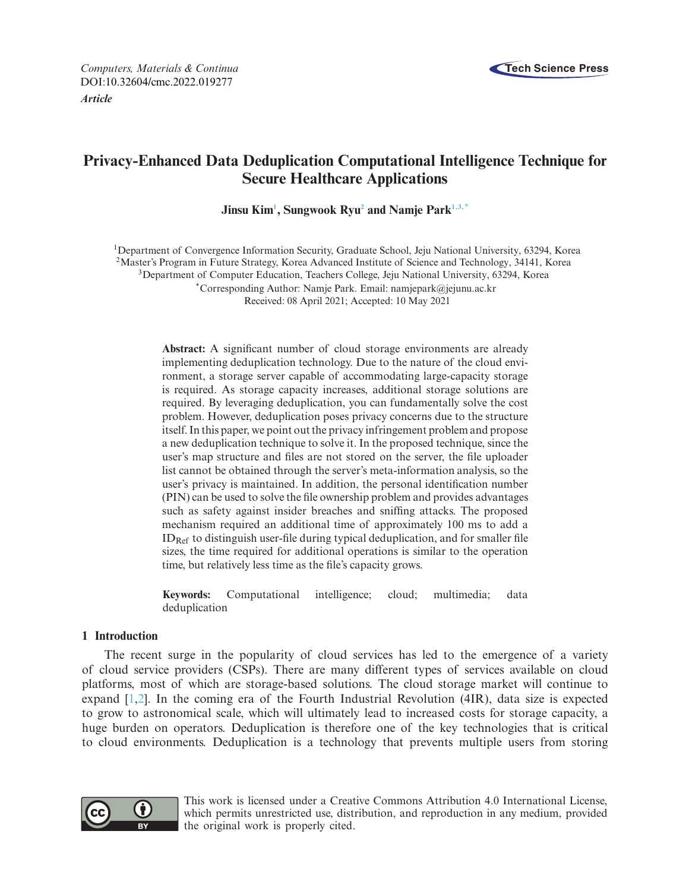



# **Privacy-Enhanced Data Deduplication Computational Intelligence Technique for Secure Healthcare Applications**

**Jinsu Ki[m1](#page-0-0) , Sungwook Ry[u2](#page-0-1) and Namje Par[k1,](#page-0-0)[3,](#page-0-2)[\\*](#page-0-3)**

<span id="page-0-2"></span><span id="page-0-1"></span><span id="page-0-0"></span>1Department of Convergence Information Security, Graduate School, Jeju National University, 63294, Korea 2Master's Program in Future Strategy, Korea Advanced Institute of Science and Technology, 34141, Korea 3Department of Computer Education, Teachers College, Jeju National University, 63294, Korea \*Corresponding Author: Namje Park. Email: namjepark@jejunu.ac.kr Received: 08 April 2021; Accepted: 10 May 2021

> <span id="page-0-3"></span>**Abstract:** A significant number of cloud storage environments are already implementing deduplication technology. Due to the nature of the cloud environment, a storage server capable of accommodating large-capacity storage is required. As storage capacity increases, additional storage solutions are required. By leveraging deduplication, you can fundamentally solve the cost problem. However, deduplication poses privacy concerns due to the structure itself. In this paper, we point out the privacy infringement problem and propose a new deduplication technique to solve it. In the proposed technique, since the user's map structure and files are not stored on the server, the file uploader list cannot be obtained through the server's meta-information analysis, so the user's privacy is maintained. In addition, the personal identification number (PIN) can be used to solve the file ownership problem and provides advantages such as safety against insider breaches and sniffing attacks. The proposed mechanism required an additional time of approximately 100 ms to add a  $ID_{Ref}$  to distinguish user-file during typical deduplication, and for smaller file sizes, the time required for additional operations is similar to the operation time, but relatively less time as the file's capacity grows.

> **Keywords:** Computational intelligence; cloud; multimedia; data deduplication

# **1 Introduction**

The recent surge in the popularity of cloud services has led to the emergence of a variety of cloud service providers (CSPs). There are many different types of services available on cloud platforms, most of which are storage-based solutions. The cloud storage market will continue to expand [\[1](#page-13-0)[,2](#page-13-1)]. In the coming era of the Fourth Industrial Revolution (4IR), data size is expected to grow to astronomical scale, which will ultimately lead to increased costs for storage capacity, a huge burden on operators. Deduplication is therefore one of the key technologies that is critical to cloud environments. Deduplication is a technology that prevents multiple users from storing



This work is licensed under a Creative Commons Attribution 4.0 International License, which permits unrestricted use, distribution, and reproduction in any medium, provided the original work is properly cited.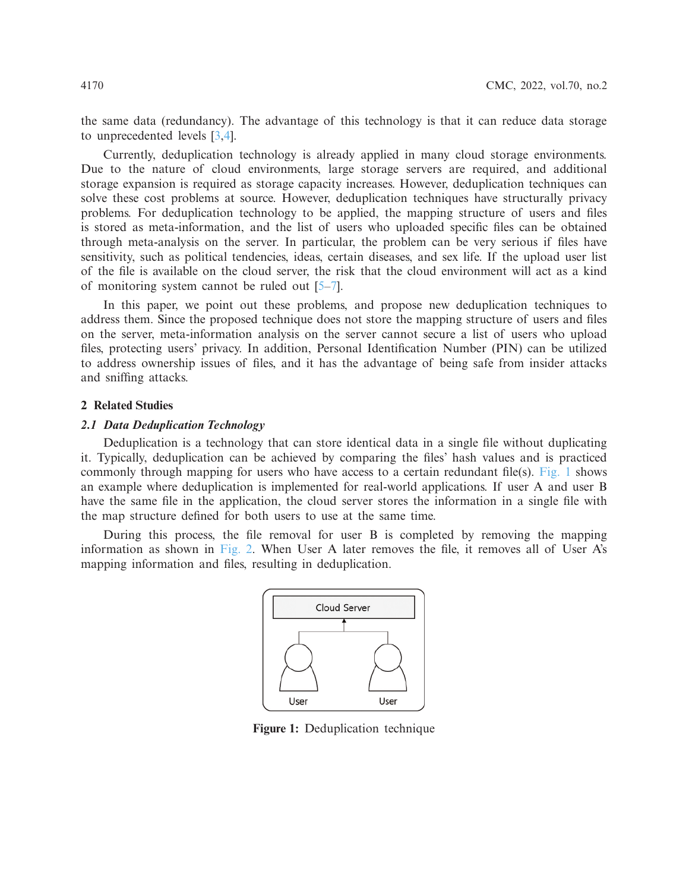the same data (redundancy). The advantage of this technology is that it can reduce data storage to unprecedented levels [\[3](#page-13-2)[,4\]](#page-13-3).

Currently, deduplication technology is already applied in many cloud storage environments. Due to the nature of cloud environments, large storage servers are required, and additional storage expansion is required as storage capacity increases. However, deduplication techniques can solve these cost problems at source. However, deduplication techniques have structurally privacy problems. For deduplication technology to be applied, the mapping structure of users and files is stored as meta-information, and the list of users who uploaded specific files can be obtained through meta-analysis on the server. In particular, the problem can be very serious if files have sensitivity, such as political tendencies, ideas, certain diseases, and sex life. If the upload user list of the file is available on the cloud server, the risk that the cloud environment will act as a kind of monitoring system cannot be ruled out [\[5](#page-13-4)[–7](#page-14-0)].

In this paper, we point out these problems, and propose new deduplication techniques to address them. Since the proposed technique does not store the mapping structure of users and files on the server, meta-information analysis on the server cannot secure a list of users who upload files, protecting users' privacy. In addition, Personal Identification Number (PIN) can be utilized to address ownership issues of files, and it has the advantage of being safe from insider attacks and sniffing attacks.

# **2 Related Studies**

#### *2.1 Data Deduplication Technology*

Deduplication is a technology that can store identical data in a single file without duplicating it. Typically, deduplication can be achieved by comparing the files' hash values and is practiced commonly through mapping for users who have access to a certain redundant file(s). [Fig. 1](#page-1-0) shows an example where deduplication is implemented for real-world applications. If user A and user B have the same file in the application, the cloud server stores the information in a single file with the map structure defined for both users to use at the same time.

During this process, the file removal for user B is completed by removing the mapping information as shown in [Fig. 2.](#page-2-0) When User A later removes the file, it removes all of User A's mapping information and files, resulting in deduplication.



<span id="page-1-0"></span>**Figure 1:** Deduplication technique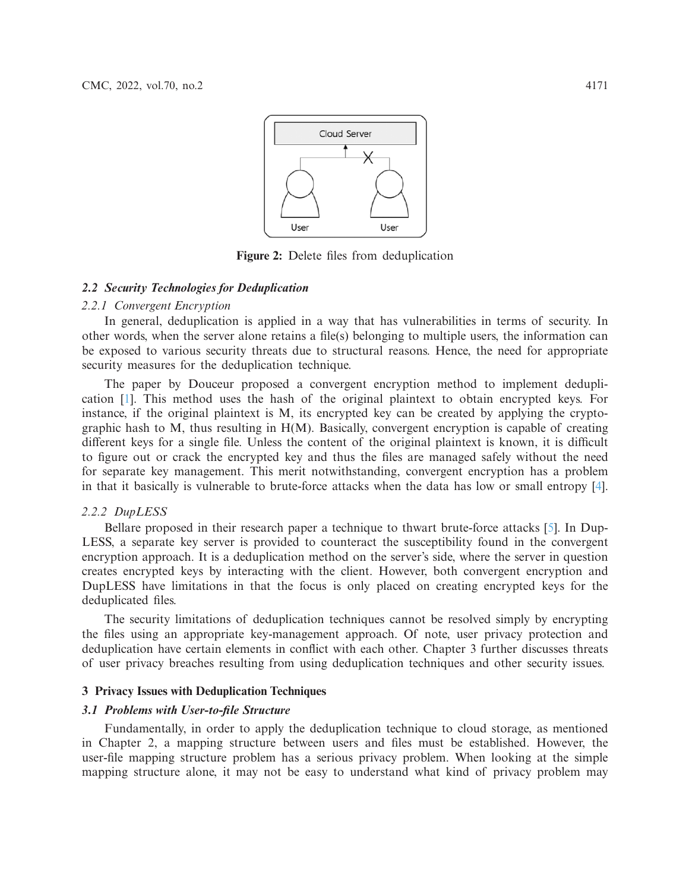

<span id="page-2-0"></span>**Figure 2:** Delete files from deduplication

### *2.2 Security Technologies for Deduplication*

# *2.2.1 Convergent Encryption*

In general, deduplication is applied in a way that has vulnerabilities in terms of security. In other words, when the server alone retains a file(s) belonging to multiple users, the information can be exposed to various security threats due to structural reasons. Hence, the need for appropriate security measures for the deduplication technique.

The paper by Douceur proposed a convergent encryption method to implement deduplication [\[1\]](#page-13-0). This method uses the hash of the original plaintext to obtain encrypted keys. For instance, if the original plaintext is M, its encrypted key can be created by applying the cryptographic hash to M, thus resulting in H(M). Basically, convergent encryption is capable of creating different keys for a single file. Unless the content of the original plaintext is known, it is difficult to figure out or crack the encrypted key and thus the files are managed safely without the need for separate key management. This merit notwithstanding, convergent encryption has a problem in that it basically is vulnerable to brute-force attacks when the data has low or small entropy [\[4\]](#page-13-3).

## *2.2.2 DupLESS*

Bellare proposed in their research paper a technique to thwart brute-force attacks [\[5](#page-13-4)]. In Dup-LESS, a separate key server is provided to counteract the susceptibility found in the convergent encryption approach. It is a deduplication method on the server's side, where the server in question creates encrypted keys by interacting with the client. However, both convergent encryption and DupLESS have limitations in that the focus is only placed on creating encrypted keys for the deduplicated files.

The security limitations of deduplication techniques cannot be resolved simply by encrypting the files using an appropriate key-management approach. Of note, user privacy protection and deduplication have certain elements in conflict with each other. Chapter 3 further discusses threats of user privacy breaches resulting from using deduplication techniques and other security issues.

# **3 Privacy Issues with Deduplication Techniques**

# *3.1 Problems with User-to-file Structure*

Fundamentally, in order to apply the deduplication technique to cloud storage, as mentioned in Chapter 2, a mapping structure between users and files must be established. However, the user-file mapping structure problem has a serious privacy problem. When looking at the simple mapping structure alone, it may not be easy to understand what kind of privacy problem may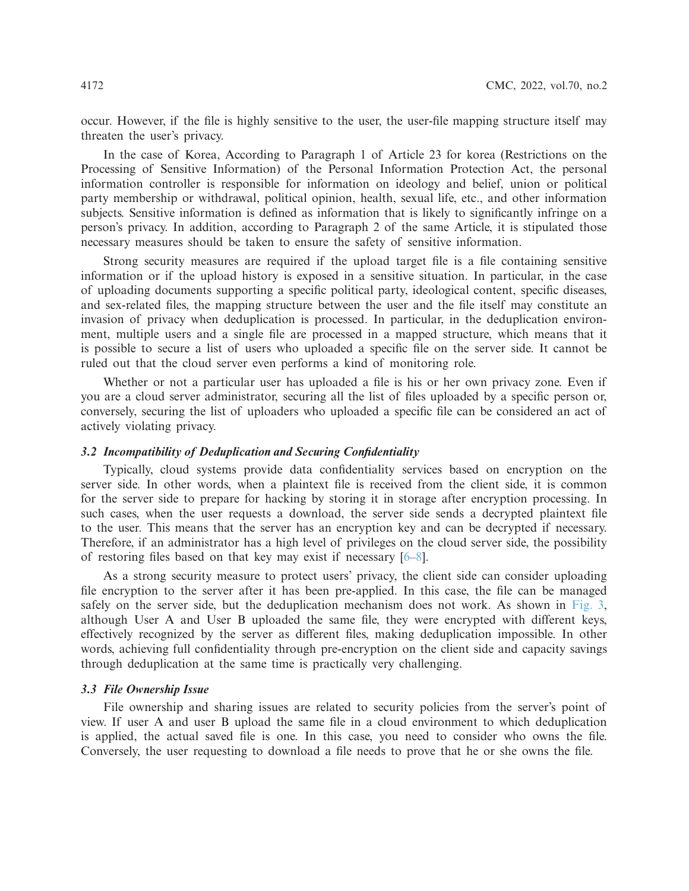occur. However, if the file is highly sensitive to the user, the user-file mapping structure itself may threaten the user's privacy.

In the case of Korea, According to Paragraph 1 of Article 23 for korea (Restrictions on the Processing of Sensitive Information) of the Personal Information Protection Act, the personal information controller is responsible for information on ideology and belief, union or political party membership or withdrawal, political opinion, health, sexual life, etc., and other information subjects. Sensitive information is defined as information that is likely to significantly infringe on a person's privacy. In addition, according to Paragraph 2 of the same Article, it is stipulated those necessary measures should be taken to ensure the safety of sensitive information.

Strong security measures are required if the upload target file is a file containing sensitive information or if the upload history is exposed in a sensitive situation. In particular, in the case of uploading documents supporting a specific political party, ideological content, specific diseases, and sex-related files, the mapping structure between the user and the file itself may constitute an invasion of privacy when deduplication is processed. In particular, in the deduplication environment, multiple users and a single file are processed in a mapped structure, which means that it is possible to secure a list of users who uploaded a specific file on the server side. It cannot be ruled out that the cloud server even performs a kind of monitoring role.

Whether or not a particular user has uploaded a file is his or her own privacy zone. Even if you are a cloud server administrator, securing all the list of files uploaded by a specific person or, conversely, securing the list of uploaders who uploaded a specific file can be considered an act of actively violating privacy.

# *3.2 Incompatibility of Deduplication and Securing Confidentiality*

Typically, cloud systems provide data confidentiality services based on encryption on the server side. In other words, when a plaintext file is received from the client side, it is common for the server side to prepare for hacking by storing it in storage after encryption processing. In such cases, when the user requests a download, the server side sends a decrypted plaintext file to the user. This means that the server has an encryption key and can be decrypted if necessary. Therefore, if an administrator has a high level of privileges on the cloud server side, the possibility of restoring files based on that key may exist if necessary [\[6](#page-13-5)[–8](#page-14-1)].

As a strong security measure to protect users' privacy, the client side can consider uploading file encryption to the server after it has been pre-applied. In this case, the file can be managed safely on the server side, but the deduplication mechanism does not work. As shown in [Fig. 3,](#page-4-0) although User A and User B uploaded the same file, they were encrypted with different keys, effectively recognized by the server as different files, making deduplication impossible. In other words, achieving full confidentiality through pre-encryption on the client side and capacity savings through deduplication at the same time is practically very challenging.

# *3.3 File Ownership Issue*

File ownership and sharing issues are related to security policies from the server's point of view. If user A and user B upload the same file in a cloud environment to which deduplication is applied, the actual saved file is one. In this case, you need to consider who owns the file. Conversely, the user requesting to download a file needs to prove that he or she owns the file.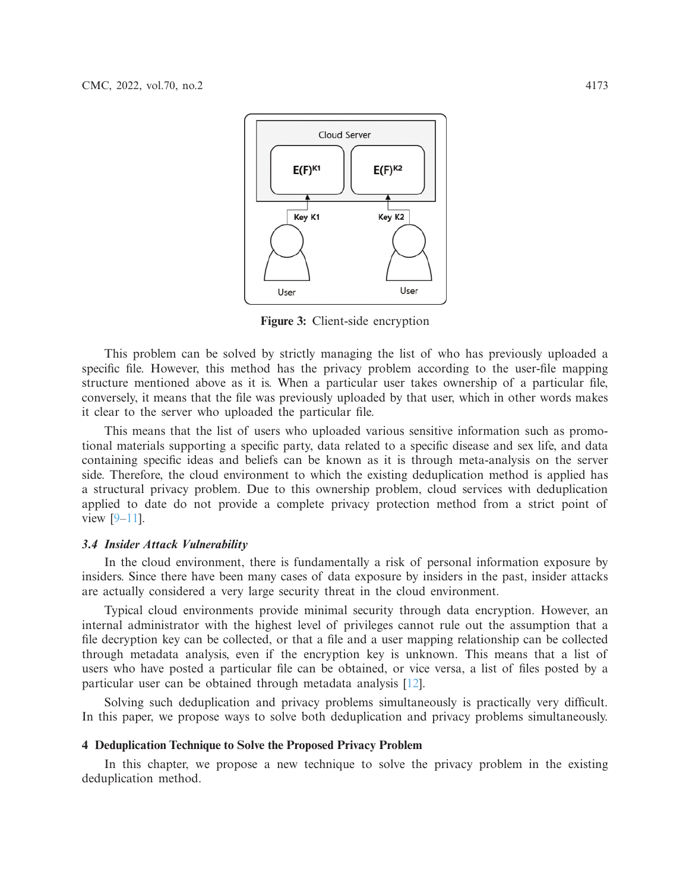

<span id="page-4-0"></span>**Figure 3:** Client-side encryption

This problem can be solved by strictly managing the list of who has previously uploaded a specific file. However, this method has the privacy problem according to the user-file mapping structure mentioned above as it is. When a particular user takes ownership of a particular file, conversely, it means that the file was previously uploaded by that user, which in other words makes it clear to the server who uploaded the particular file.

This means that the list of users who uploaded various sensitive information such as promotional materials supporting a specific party, data related to a specific disease and sex life, and data containing specific ideas and beliefs can be known as it is through meta-analysis on the server side. Therefore, the cloud environment to which the existing deduplication method is applied has a structural privacy problem. Due to this ownership problem, cloud services with deduplication applied to date do not provide a complete privacy protection method from a strict point of view [\[9](#page-14-2)[–11](#page-14-3)].

## *3.4 Insider Attack Vulnerability*

In the cloud environment, there is fundamentally a risk of personal information exposure by insiders. Since there have been many cases of data exposure by insiders in the past, insider attacks are actually considered a very large security threat in the cloud environment.

Typical cloud environments provide minimal security through data encryption. However, an internal administrator with the highest level of privileges cannot rule out the assumption that a file decryption key can be collected, or that a file and a user mapping relationship can be collected through metadata analysis, even if the encryption key is unknown. This means that a list of users who have posted a particular file can be obtained, or vice versa, a list of files posted by a particular user can be obtained through metadata analysis [\[12](#page-14-4)].

Solving such deduplication and privacy problems simultaneously is practically very difficult. In this paper, we propose ways to solve both deduplication and privacy problems simultaneously.

## **4 Deduplication Technique to Solve the Proposed Privacy Problem**

In this chapter, we propose a new technique to solve the privacy problem in the existing deduplication method.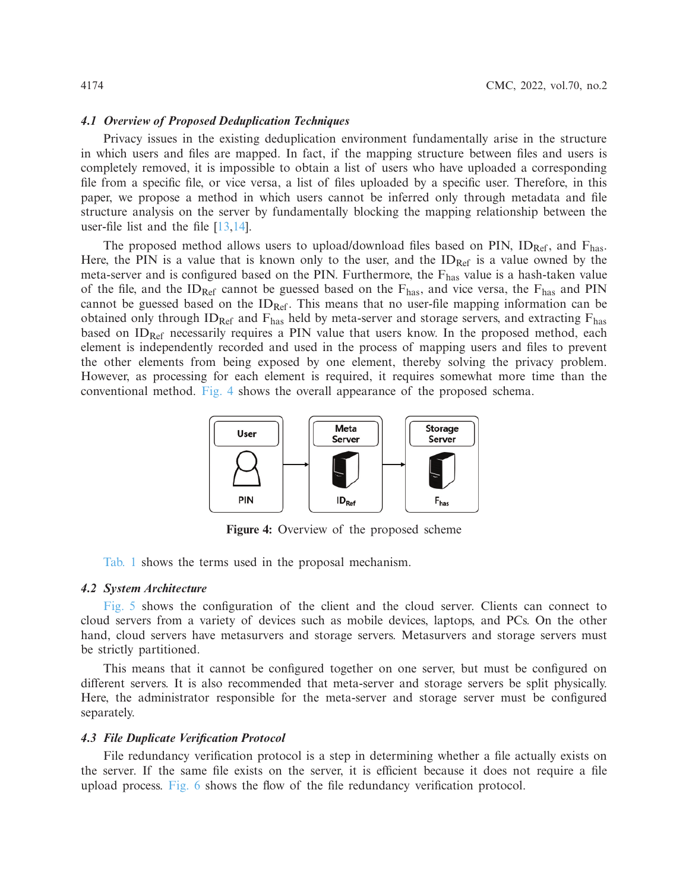#### *4.1 Overview of Proposed Deduplication Techniques*

Privacy issues in the existing deduplication environment fundamentally arise in the structure in which users and files are mapped. In fact, if the mapping structure between files and users is completely removed, it is impossible to obtain a list of users who have uploaded a corresponding file from a specific file, or vice versa, a list of files uploaded by a specific user. Therefore, in this paper, we propose a method in which users cannot be inferred only through metadata and file structure analysis on the server by fundamentally blocking the mapping relationship between the user-file list and the file [\[13](#page-14-5)[,14](#page-14-6)].

The proposed method allows users to upload/download files based on PIN,  $ID_{Ref}$ , and  $F_{has}$ . Here, the PIN is a value that is known only to the user, and the  $ID_{Ref}$  is a value owned by the meta-server and is configured based on the PIN. Furthermore, the  $F_{\text{has}}$  value is a hash-taken value of the file, and the ID<sub>Ref</sub> cannot be guessed based on the  $F_{\text{has}}$ , and vice versa, the  $F_{\text{has}}$  and PIN cannot be guessed based on the  $ID_{Ref}$ . This means that no user-file mapping information can be obtained only through  $ID_{Ref}$  and  $F_{has}$  held by meta-server and storage servers, and extracting  $F_{has}$ based on ID<sub>Ref</sub> necessarily requires a PIN value that users know. In the proposed method, each element is independently recorded and used in the process of mapping users and files to prevent the other elements from being exposed by one element, thereby solving the privacy problem. However, as processing for each element is required, it requires somewhat more time than the conventional method. [Fig. 4](#page-5-0) shows the overall appearance of the proposed schema.



<span id="page-5-0"></span>**Figure 4:** Overview of the proposed scheme

[Tab. 1](#page-6-0) shows the terms used in the proposal mechanism.

# *4.2 System Architecture*

[Fig. 5](#page-6-1) shows the configuration of the client and the cloud server. Clients can connect to cloud servers from a variety of devices such as mobile devices, laptops, and PCs. On the other hand, cloud servers have metasurvers and storage servers. Metasurvers and storage servers must be strictly partitioned.

This means that it cannot be configured together on one server, but must be configured on different servers. It is also recommended that meta-server and storage servers be split physically. Here, the administrator responsible for the meta-server and storage server must be configured separately.

#### *4.3 File Duplicate Verification Protocol*

File redundancy verification protocol is a step in determining whether a file actually exists on the server. If the same file exists on the server, it is efficient because it does not require a file upload process. [Fig. 6](#page-7-0) shows the flow of the file redundancy verification protocol.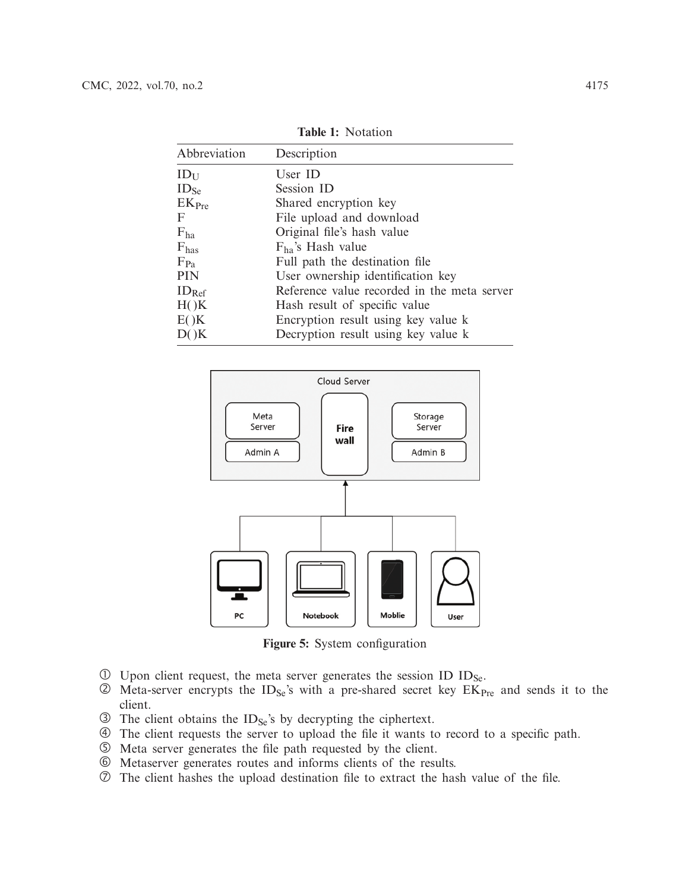<span id="page-6-0"></span>

| Abbreviation      | Description                                 |
|-------------------|---------------------------------------------|
| $ID_{U}$          | User ID                                     |
| ID <sub>Se</sub>  | Session ID                                  |
| EK <sub>Pre</sub> | Shared encryption key                       |
| F                 | File upload and download                    |
| $F_{ha}$          | Original file's hash value                  |
| $F_{\text{has}}$  | $F_{ha}$ 's Hash value                      |
| $F_{Pa}$          | Full path the destination file              |
| <b>PIN</b>        | User ownership identification key           |
| $ID_{Ref}$        | Reference value recorded in the meta server |
| H()K              | Hash result of specific value               |
| E()K              | Encryption result using key value k         |
| D()K              | Decryption result using key value k         |
|                   |                                             |

**Table 1:** Notation



<span id="page-6-1"></span>**Figure 5:** System configuration

- $\overline{10}$  Upon client request, the meta server generates the session ID ID<sub>Se</sub>.
- $\oslash$  Meta-server encrypts the ID<sub>Se</sub>'s with a pre-shared secret key EK<sub>Pre</sub> and sends it to the client.
- $\circled{3}$  The client obtains the ID<sub>Se</sub>'s by decrypting the ciphertext.
- The client requests the server to upload the file it wants to record to a specific path.
- Meta server generates the file path requested by the client.
- Metaserver generates routes and informs clients of the results.
- $\circled{2}$  The client hashes the upload destination file to extract the hash value of the file.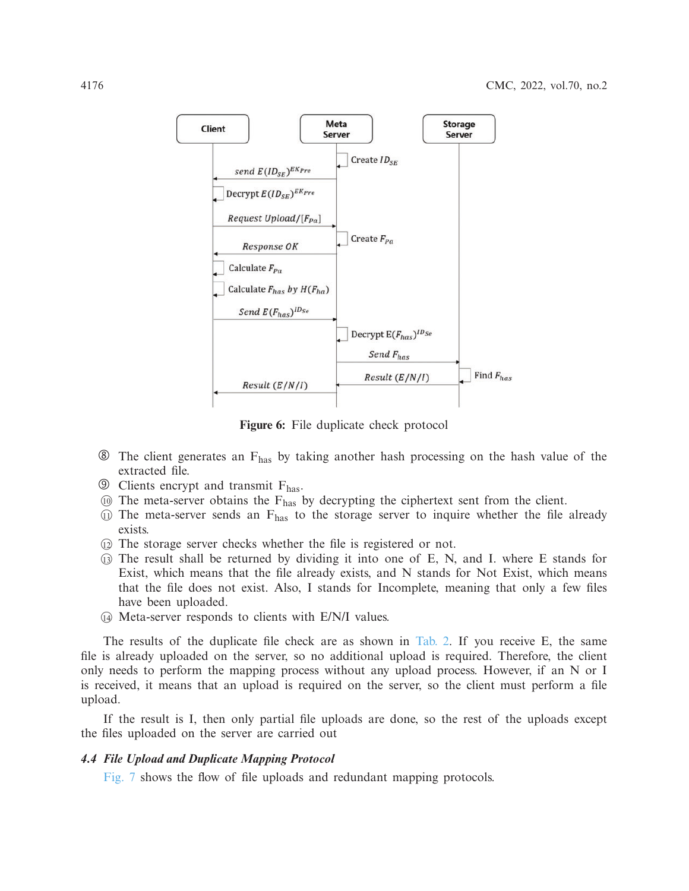

<span id="page-7-0"></span>**Figure 6:** File duplicate check protocol

- $\circledast$  The client generates an  $F_{\text{has}}$  by taking another hash processing on the hash value of the extracted file.
- $\circledcirc$  Clients encrypt and transmit  $F_{\text{has}}$ .
- $\omega$  The meta-server obtains the F<sub>has</sub> by decrypting the ciphertext sent from the client.
- $\omega$  The meta-server sends an  $F_{\text{has}}$  to the storage server to inquire whether the file already exists.
- -<sup>12</sup> The storage server checks whether the file is registered or not.
- -<sup>13</sup> The result shall be returned by dividing it into one of E, N, and I. where E stands for Exist, which means that the file already exists, and N stands for Not Exist, which means that the file does not exist. Also, I stands for Incomplete, meaning that only a few files have been uploaded.
- -<sup>14</sup> Meta-server responds to clients with E/N/I values.

The results of the duplicate file check are as shown in [Tab. 2.](#page-8-0) If you receive E, the same file is already uploaded on the server, so no additional upload is required. Therefore, the client only needs to perform the mapping process without any upload process. However, if an N or I is received, it means that an upload is required on the server, so the client must perform a file upload.

If the result is I, then only partial file uploads are done, so the rest of the uploads except the files uploaded on the server are carried out

# *4.4 File Upload and Duplicate Mapping Protocol*

[Fig. 7](#page-8-1) shows the flow of file uploads and redundant mapping protocols.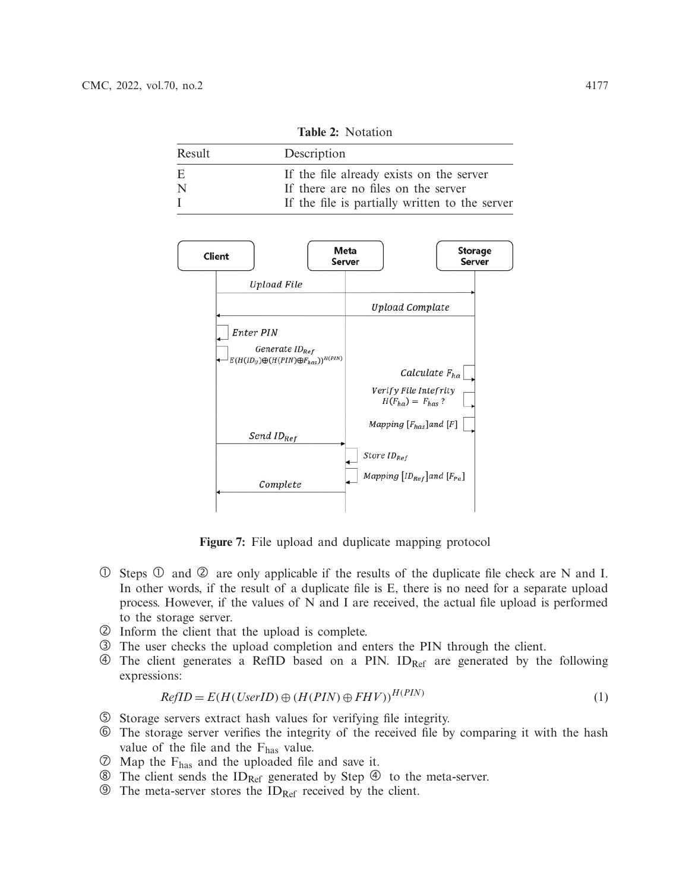<span id="page-8-0"></span>

| $\blacksquare$ |                                                |  |  |  |
|----------------|------------------------------------------------|--|--|--|
| Result         | Description                                    |  |  |  |
| E.             | If the file already exists on the server       |  |  |  |
| N              | If there are no files on the server            |  |  |  |
|                | If the file is partially written to the server |  |  |  |

**Table 2:** Notation



<span id="page-8-1"></span>**Figure 7:** File upload and duplicate mapping protocol

- $\circled{1}$  Steps  $\circled{1}$  and  $\circled{2}$  are only applicable if the results of the duplicate file check are N and I. In other words, if the result of a duplicate file is E, there is no need for a separate upload process. However, if the values of N and I are received, the actual file upload is performed to the storage server.
- Inform the client that the upload is complete.
- The user checks the upload completion and enters the PIN through the client.
- $\circled{4}$  The client generates a RefID based on a PIN. ID<sub>Ref</sub> are generated by the following expressions:

$$
RefID = E(H(UserID) \oplus (H(PIN) \oplus FHV))^{H(PIN)}
$$
\n(1)

- Storage servers extract hash values for verifying file integrity.
- The storage server verifies the integrity of the received file by comparing it with the hash value of the file and the  $F_{\text{has}}$  value.
- Map the Fhas and the uploaded file and save it.
- $\circledR$  The client sends the ID<sub>Ref</sub> generated by Step  $\circledR$  to the meta-server.
- $\circled{9}$  The meta-server stores the ID<sub>Ref</sub> received by the client.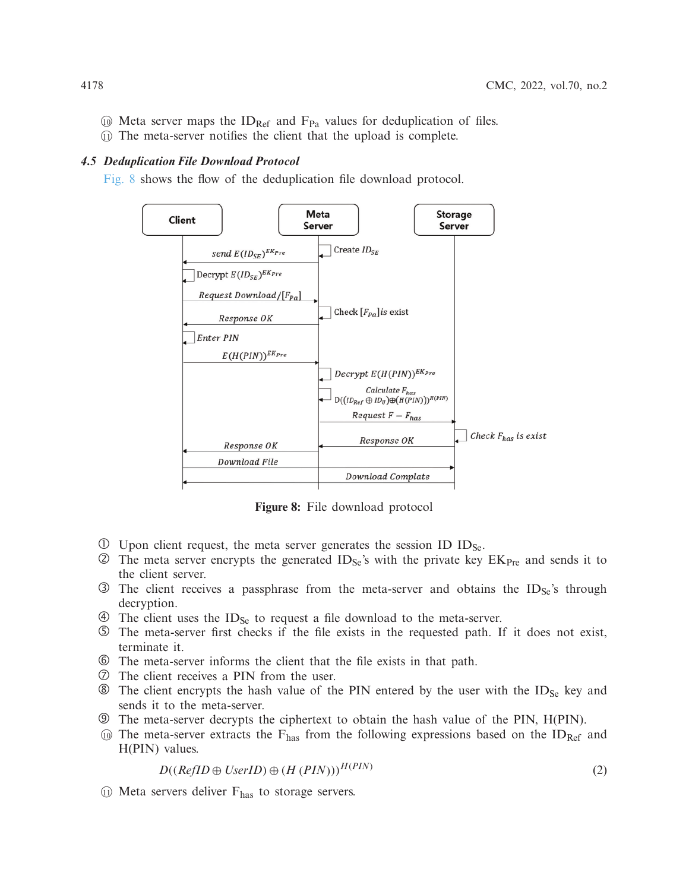- $\omega$  Meta server maps the ID<sub>Ref</sub> and F<sub>Pa</sub> values for deduplication of files.
- -<sup>11</sup> The meta-server notifies the client that the upload is complete.

# *4.5 Deduplication File Download Protocol*

[Fig. 8](#page-9-0) shows the flow of the deduplication file download protocol.



<span id="page-9-0"></span>**Figure 8:** File download protocol

- $\overline{10}$  Upon client request, the meta server generates the session ID ID<sub>Se</sub>.
- $\circled{2}$  The meta server encrypts the generated ID<sub>Se</sub>'s with the private key EK<sub>Pre</sub> and sends it to the client server.
- $\circled{3}$  The client receives a passphrase from the meta-server and obtains the ID<sub>Se</sub>'s through decryption.
- $\circled{4}$  The client uses the ID<sub>Se</sub> to request a file download to the meta-server.
- The meta-server first checks if the file exists in the requested path. If it does not exist, terminate it.
- The meta-server informs the client that the file exists in that path.
- The client receives a PIN from the user.
- $\circledast$  The client encrypts the hash value of the PIN entered by the user with the ID<sub>Se</sub> key and sends it to the meta-server.
- The meta-server decrypts the ciphertext to obtain the hash value of the PIN, H(PIN).
- $\omega$  The meta-server extracts the F<sub>has</sub> from the following expressions based on the ID<sub>Ref</sub> and H(PIN) values.

$$
D((RefID \oplus UserID) \oplus (H (PIN)))^{H (PIN)} \tag{2}
$$

**(ii)** Meta servers deliver F<sub>has</sub> to storage servers.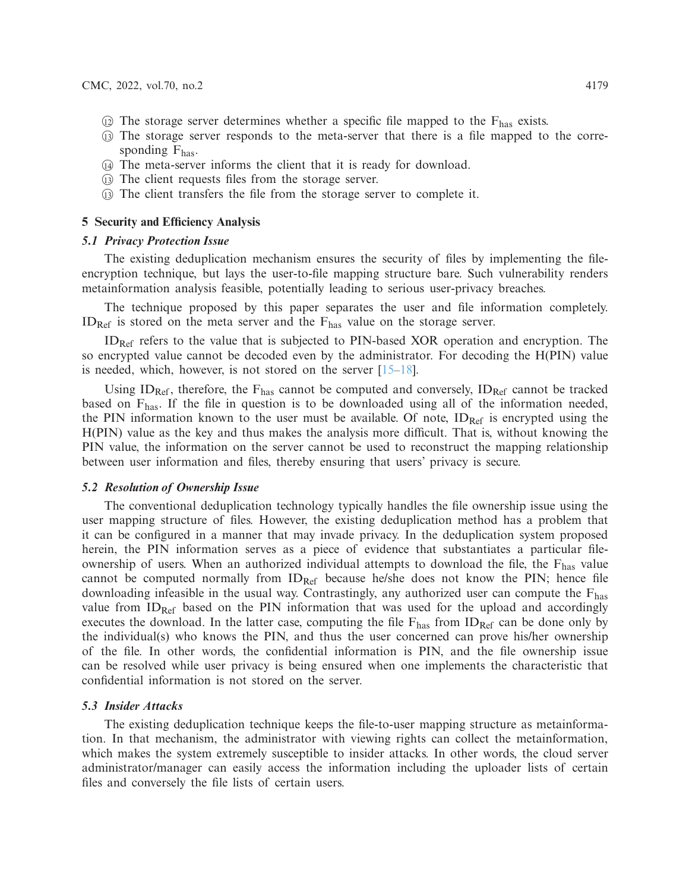- $\odot$  The storage server determines whether a specific file mapped to the  $F_{\text{has}}$  exists.
- -<sup>13</sup> The storage server responds to the meta-server that there is a file mapped to the corresponding  $F_{\text{has}}$ .
- -<sup>14</sup> The meta-server informs the client that it is ready for download.
- -<sup>13</sup> The client requests files from the storage server.
- -<sup>13</sup> The client transfers the file from the storage server to complete it.

## **5 Security and Efficiency Analysis**

# *5.1 Privacy Protection Issue*

The existing deduplication mechanism ensures the security of files by implementing the fileencryption technique, but lays the user-to-file mapping structure bare. Such vulnerability renders metainformation analysis feasible, potentially leading to serious user-privacy breaches.

The technique proposed by this paper separates the user and file information completely.  $ID_{Ref}$  is stored on the meta server and the  $F_{has}$  value on the storage server.

IDRef refers to the value that is subjected to PIN-based XOR operation and encryption. The so encrypted value cannot be decoded even by the administrator. For decoding the H(PIN) value is needed, which, however, is not stored on the server [\[15](#page-14-7)[–18\]](#page-14-8).

Using  $ID_{Ref}$ , therefore, the  $F_{has}$  cannot be computed and conversely,  $ID_{Ref}$  cannot be tracked based on  $F_{\text{has}}$ . If the file in question is to be downloaded using all of the information needed, the PIN information known to the user must be available. Of note,  $ID_{Ref}$  is encrypted using the H(PIN) value as the key and thus makes the analysis more difficult. That is, without knowing the PIN value, the information on the server cannot be used to reconstruct the mapping relationship between user information and files, thereby ensuring that users' privacy is secure.

## *5.2 Resolution of Ownership Issue*

The conventional deduplication technology typically handles the file ownership issue using the user mapping structure of files. However, the existing deduplication method has a problem that it can be configured in a manner that may invade privacy. In the deduplication system proposed herein, the PIN information serves as a piece of evidence that substantiates a particular fileownership of users. When an authorized individual attempts to download the file, the  $F_{\text{has}}$  value cannot be computed normally from  $ID_{Ref}$  because he/she does not know the PIN; hence file downloading infeasible in the usual way. Contrastingly, any authorized user can compute the Fhas value from ID<sub>Ref</sub> based on the PIN information that was used for the upload and accordingly executes the download. In the latter case, computing the file  $F_{\text{has}}$  from ID<sub>Ref</sub> can be done only by the individual(s) who knows the PIN, and thus the user concerned can prove his/her ownership of the file. In other words, the confidential information is PIN, and the file ownership issue can be resolved while user privacy is being ensured when one implements the characteristic that confidential information is not stored on the server.

#### *5.3 Insider Attacks*

The existing deduplication technique keeps the file-to-user mapping structure as metainformation. In that mechanism, the administrator with viewing rights can collect the metainformation, which makes the system extremely susceptible to insider attacks. In other words, the cloud server administrator/manager can easily access the information including the uploader lists of certain files and conversely the file lists of certain users.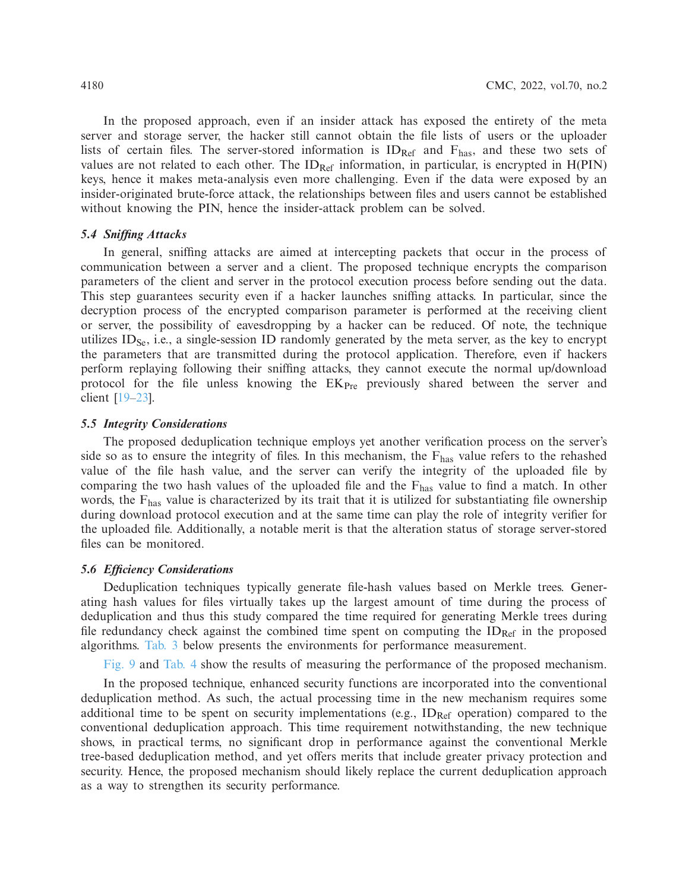In the proposed approach, even if an insider attack has exposed the entirety of the meta server and storage server, the hacker still cannot obtain the file lists of users or the uploader lists of certain files. The server-stored information is  $ID_{Ref}$  and  $F_{has}$ , and these two sets of values are not related to each other. The  $ID_{Ref}$  information, in particular, is encrypted in  $H(PIN)$ keys, hence it makes meta-analysis even more challenging. Even if the data were exposed by an insider-originated brute-force attack, the relationships between files and users cannot be established without knowing the PIN, hence the insider-attack problem can be solved.

# *5.4 Sniffing Attacks*

In general, sniffing attacks are aimed at intercepting packets that occur in the process of communication between a server and a client. The proposed technique encrypts the comparison parameters of the client and server in the protocol execution process before sending out the data. This step guarantees security even if a hacker launches sniffing attacks. In particular, since the decryption process of the encrypted comparison parameter is performed at the receiving client or server, the possibility of eavesdropping by a hacker can be reduced. Of note, the technique utilizes  $ID_{Se}$ , i.e., a single-session ID randomly generated by the meta server, as the key to encrypt the parameters that are transmitted during the protocol application. Therefore, even if hackers perform replaying following their sniffing attacks, they cannot execute the normal up/download protocol for the file unless knowing the EK<sub>Pre</sub> previously shared between the server and client [\[19](#page-14-9)[–23\]](#page-14-10).

#### *5.5 Integrity Considerations*

The proposed deduplication technique employs yet another verification process on the server's side so as to ensure the integrity of files. In this mechanism, the F<sub>has</sub> value refers to the rehashed value of the file hash value, and the server can verify the integrity of the uploaded file by comparing the two hash values of the uploaded file and the  $F_{\text{has}}$  value to find a match. In other words, the Fhas value is characterized by its trait that it is utilized for substantiating file ownership during download protocol execution and at the same time can play the role of integrity verifier for the uploaded file. Additionally, a notable merit is that the alteration status of storage server-stored files can be monitored.

#### *5.6 Efficiency Considerations*

Deduplication techniques typically generate file-hash values based on Merkle trees. Generating hash values for files virtually takes up the largest amount of time during the process of deduplication and thus this study compared the time required for generating Merkle trees during file redundancy check against the combined time spent on computing the  $ID_{Ref}$  in the proposed algorithms. [Tab. 3](#page-12-0) below presents the environments for performance measurement.

[Fig. 9](#page-12-1) and [Tab. 4](#page-12-2) show the results of measuring the performance of the proposed mechanism.

In the proposed technique, enhanced security functions are incorporated into the conventional deduplication method. As such, the actual processing time in the new mechanism requires some additional time to be spent on security implementations (e.g.,  $ID_{Ref}$  operation) compared to the conventional deduplication approach. This time requirement notwithstanding, the new technique shows, in practical terms, no significant drop in performance against the conventional Merkle tree-based deduplication method, and yet offers merits that include greater privacy protection and security. Hence, the proposed mechanism should likely replace the current deduplication approach as a way to strengthen its security performance.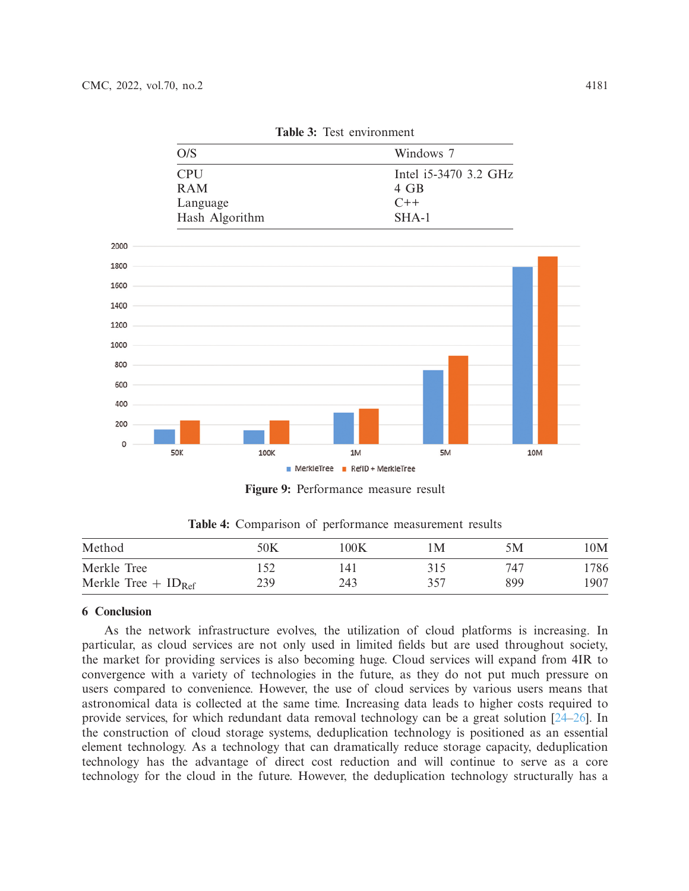|  | Table 3: Test environment |
|--|---------------------------|
|--|---------------------------|

<span id="page-12-0"></span>

<span id="page-12-1"></span>**Figure 9:** Performance measure result

<span id="page-12-2"></span>

| Method                            | 50K | 100K | $\mathsf{M}% _{T}=\mathsf{M}_{T}\!\left( a,b\right) ,\ \mathsf{M}_{T}=\mathsf{M}_{T}\!\left( a,b\right) ,$ | 5Μ  | 10M  |
|-----------------------------------|-----|------|------------------------------------------------------------------------------------------------------------|-----|------|
| Merkle Tree                       |     | 14 l | 315                                                                                                        | 747 | 1786 |
| Merkle Tree $+$ ID <sub>Ref</sub> | 239 | 243  | 357                                                                                                        | 899 | 1907 |

**Table 4:** Comparison of performance measurement results

# **6 Conclusion**

As the network infrastructure evolves, the utilization of cloud platforms is increasing. In particular, as cloud services are not only used in limited fields but are used throughout society, the market for providing services is also becoming huge. Cloud services will expand from 4IR to convergence with a variety of technologies in the future, as they do not put much pressure on users compared to convenience. However, the use of cloud services by various users means that astronomical data is collected at the same time. Increasing data leads to higher costs required to provide services, for which redundant data removal technology can be a great solution [\[24](#page-14-11)[–26\]](#page-14-12). In the construction of cloud storage systems, deduplication technology is positioned as an essential element technology. As a technology that can dramatically reduce storage capacity, deduplication technology has the advantage of direct cost reduction and will continue to serve as a core technology for the cloud in the future. However, the deduplication technology structurally has a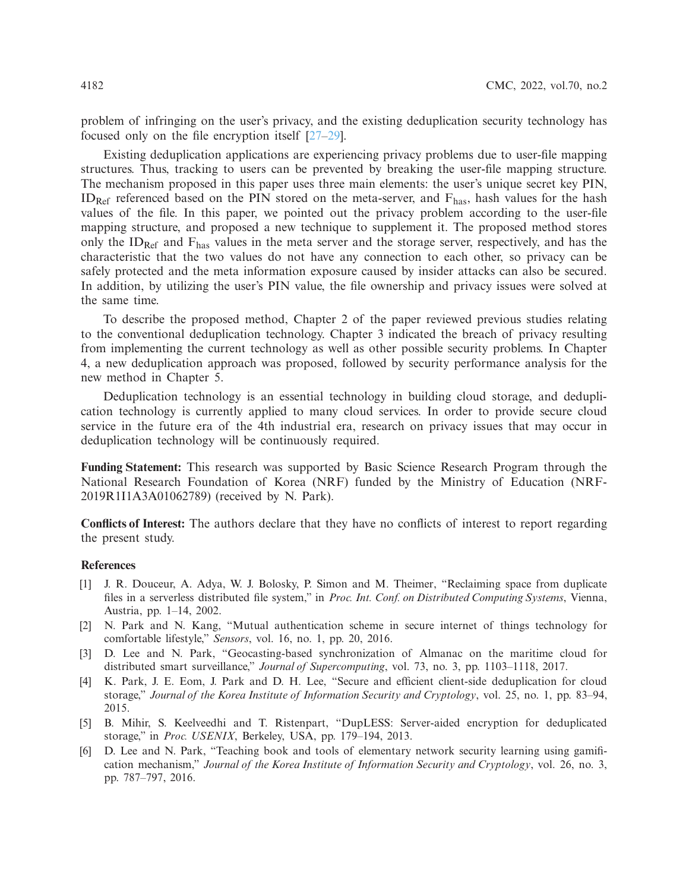problem of infringing on the user's privacy, and the existing deduplication security technology has focused only on the file encryption itself [\[27](#page-15-0)[–29](#page-15-1)].

Existing deduplication applications are experiencing privacy problems due to user-file mapping structures. Thus, tracking to users can be prevented by breaking the user-file mapping structure. The mechanism proposed in this paper uses three main elements: the user's unique secret key PIN,  $ID_{Ref}$  referenced based on the PIN stored on the meta-server, and  $F_{has}$ , hash values for the hash values of the file. In this paper, we pointed out the privacy problem according to the user-file mapping structure, and proposed a new technique to supplement it. The proposed method stores only the  $ID_{Ref}$  and  $F_{has}$  values in the meta server and the storage server, respectively, and has the characteristic that the two values do not have any connection to each other, so privacy can be safely protected and the meta information exposure caused by insider attacks can also be secured. In addition, by utilizing the user's PIN value, the file ownership and privacy issues were solved at the same time.

To describe the proposed method, Chapter 2 of the paper reviewed previous studies relating to the conventional deduplication technology. Chapter 3 indicated the breach of privacy resulting from implementing the current technology as well as other possible security problems. In Chapter 4, a new deduplication approach was proposed, followed by security performance analysis for the new method in Chapter 5.

Deduplication technology is an essential technology in building cloud storage, and deduplication technology is currently applied to many cloud services. In order to provide secure cloud service in the future era of the 4th industrial era, research on privacy issues that may occur in deduplication technology will be continuously required.

**Funding Statement:** This research was supported by Basic Science Research Program through the National Research Foundation of Korea (NRF) funded by the Ministry of Education (NRF-2019R1I1A3A01062789) (received by N. Park).

**Conflicts of Interest:** The authors declare that they have no conflicts of interest to report regarding the present study.

# **References**

- <span id="page-13-0"></span>[1] J. R. Douceur, A. Adya, W. J. Bolosky, P. Simon and M. Theimer, "Reclaiming space from duplicate files in a serverless distributed file system," in *Proc. Int. Conf. on Distributed Computing Systems*, Vienna, Austria, pp. 1–14, 2002.
- <span id="page-13-1"></span>[2] N. Park and N. Kang, "Mutual authentication scheme in secure internet of things technology for comfortable lifestyle," *Sensors*, vol. 16, no. 1, pp. 20, 2016.
- <span id="page-13-2"></span>[3] D. Lee and N. Park, "Geocasting-based synchronization of Almanac on the maritime cloud for distributed smart surveillance," *Journal of Supercomputing*, vol. 73, no. 3, pp. 1103–1118, 2017.
- <span id="page-13-3"></span>[4] K. Park, J. E. Eom, J. Park and D. H. Lee, "Secure and efficient client-side deduplication for cloud storage," *Journal of the Korea Institute of Information Security and Cryptology*, vol. 25, no. 1, pp. 83–94, 2015.
- <span id="page-13-4"></span>[5] B. Mihir, S. Keelveedhi and T. Ristenpart, "DupLESS: Server-aided encryption for deduplicated storage," in *Proc. USENIX*, Berkeley, USA, pp. 179–194, 2013.
- <span id="page-13-5"></span>[6] D. Lee and N. Park, "Teaching book and tools of elementary network security learning using gamification mechanism," *Journal of the Korea Institute of Information Security and Cryptology*, vol. 26, no. 3, pp. 787–797, 2016.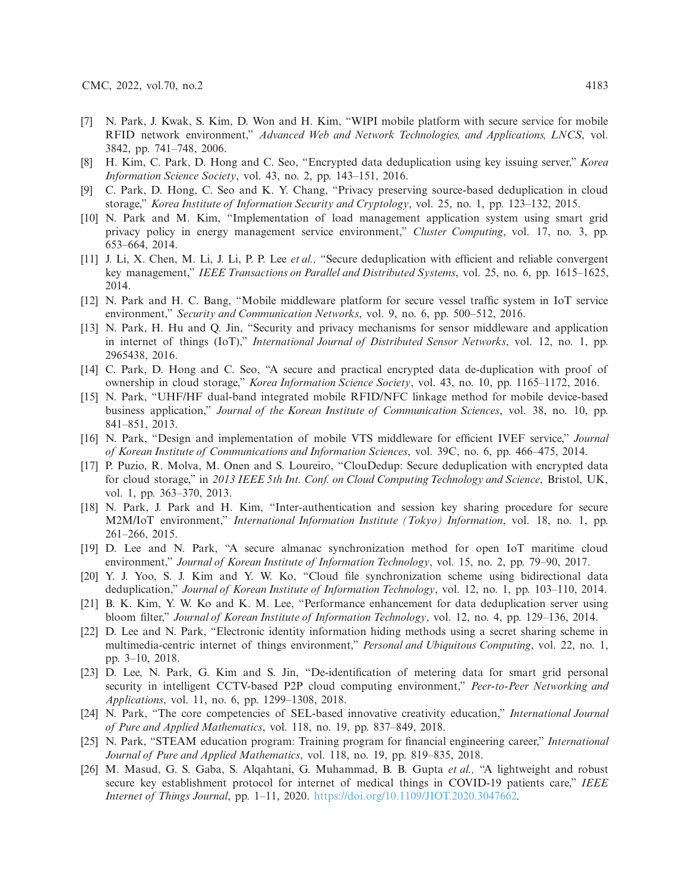- <span id="page-14-0"></span>[7] N. Park, J. Kwak, S. Kim, D. Won and H. Kim, "WIPI mobile platform with secure service for mobile RFID network environment," *Advanced Web and Network Technologies, and Applications, LNCS*, vol. 3842, pp. 741–748, 2006.
- <span id="page-14-1"></span>[8] H. Kim, C. Park, D. Hong and C. Seo, "Encrypted data deduplication using key issuing server," *Korea Information Science Society*, vol. 43, no. 2, pp. 143–151, 2016.
- <span id="page-14-2"></span>[9] C. Park, D. Hong, C. Seo and K. Y. Chang, "Privacy preserving source-based deduplication in cloud storage," *Korea Institute of Information Security and Cryptology*, vol. 25, no. 1, pp. 123–132, 2015.
- [10] N. Park and M. Kim, "Implementation of load management application system using smart grid privacy policy in energy management service environment," *Cluster Computing*, vol. 17, no. 3, pp. 653–664, 2014.
- <span id="page-14-3"></span>[11] J. Li, X. Chen, M. Li, J. Li, P. P. Lee *et al.,* "Secure deduplication with efficient and reliable convergent key management," *IEEE Transactions on Parallel and Distributed Systems*, vol. 25, no. 6, pp. 1615–1625, 2014.
- <span id="page-14-4"></span>[12] N. Park and H. C. Bang, "Mobile middleware platform for secure vessel traffic system in IoT service environment," *Security and Communication Networks*, vol. 9, no. 6, pp. 500–512, 2016.
- <span id="page-14-5"></span>[13] N. Park, H. Hu and Q. Jin, "Security and privacy mechanisms for sensor middleware and application in internet of things (IoT)," *International Journal of Distributed Sensor Networks*, vol. 12, no. 1, pp. 2965438, 2016.
- <span id="page-14-6"></span>[14] C. Park, D. Hong and C. Seo, "A secure and practical encrypted data de-duplication with proof of ownership in cloud storage," *Korea Information Science Society*, vol. 43, no. 10, pp. 1165–1172, 2016.
- <span id="page-14-7"></span>[15] N. Park, "UHF/HF dual-band integrated mobile RFID/NFC linkage method for mobile device-based business application," *Journal of the Korean Institute of Communication Sciences*, vol. 38, no. 10, pp. 841–851, 2013.
- [16] N. Park, "Design and implementation of mobile VTS middleware for efficient IVEF service," *Journal of Korean Institute of Communications and Information Sciences*, vol. 39C, no. 6, pp. 466–475, 2014.
- [17] P. Puzio, R. Molva, M. Onen and S. Loureiro, "ClouDedup: Secure deduplication with encrypted data for cloud storage," in *2013 IEEE 5th Int. Conf. on Cloud Computing Technology and Science*, Bristol, UK, vol. 1, pp. 363–370, 2013.
- <span id="page-14-8"></span>[18] N. Park, J. Park and H. Kim, "Inter-authentication and session key sharing procedure for secure M2M/IoT environment," *International Information Institute (Tokyo) Information*, vol. 18, no. 1, pp. 261–266, 2015.
- <span id="page-14-9"></span>[19] D. Lee and N. Park, "A secure almanac synchronization method for open IoT maritime cloud environment," *Journal of Korean Institute of Information Technology*, vol. 15, no. 2, pp. 79–90, 2017.
- [20] Y. J. Yoo, S. J. Kim and Y. W. Ko, "Cloud file synchronization scheme using bidirectional data deduplication," *Journal of Korean Institute of Information Technology*, vol. 12, no. 1, pp. 103–110, 2014.
- [21] B. K. Kim, Y. W. Ko and K. M. Lee, "Performance enhancement for data deduplication server using bloom filter," *Journal of Korean Institute of Information Technology*, vol. 12, no. 4, pp. 129–136, 2014.
- [22] D. Lee and N. Park, "Electronic identity information hiding methods using a secret sharing scheme in multimedia-centric internet of things environment," *Personal and Ubiquitous Computing*, vol. 22, no. 1, pp. 3–10, 2018.
- <span id="page-14-10"></span>[23] D. Lee, N. Park, G. Kim and S. Jin, "De-identification of metering data for smart grid personal security in intelligent CCTV-based P2P cloud computing environment," *Peer-to-Peer Networking and Applications*, vol. 11, no. 6, pp. 1299–1308, 2018.
- <span id="page-14-11"></span>[24] N. Park, "The core competencies of SEL-based innovative creativity education," *International Journal of Pure and Applied Mathematics*, vol. 118, no. 19, pp. 837–849, 2018.
- [25] N. Park, "STEAM education program: Training program for financial engineering career," *International Journal of Pure and Applied Mathematics*, vol. 118, no. 19, pp. 819–835, 2018.
- <span id="page-14-12"></span>[26] M. Masud, G. S. Gaba, S. Alqahtani, G. Muhammad, B. B. Gupta *et al.,* "A lightweight and robust secure key establishment protocol for internet of medical things in COVID-19 patients care," *IEEE Internet of Things Journal*, pp. 1–11, 2020. [https://doi.org/10.1109/JIOT.2020.3047662.](https://doi.org/10.1109/JIOT.2020.3047662)